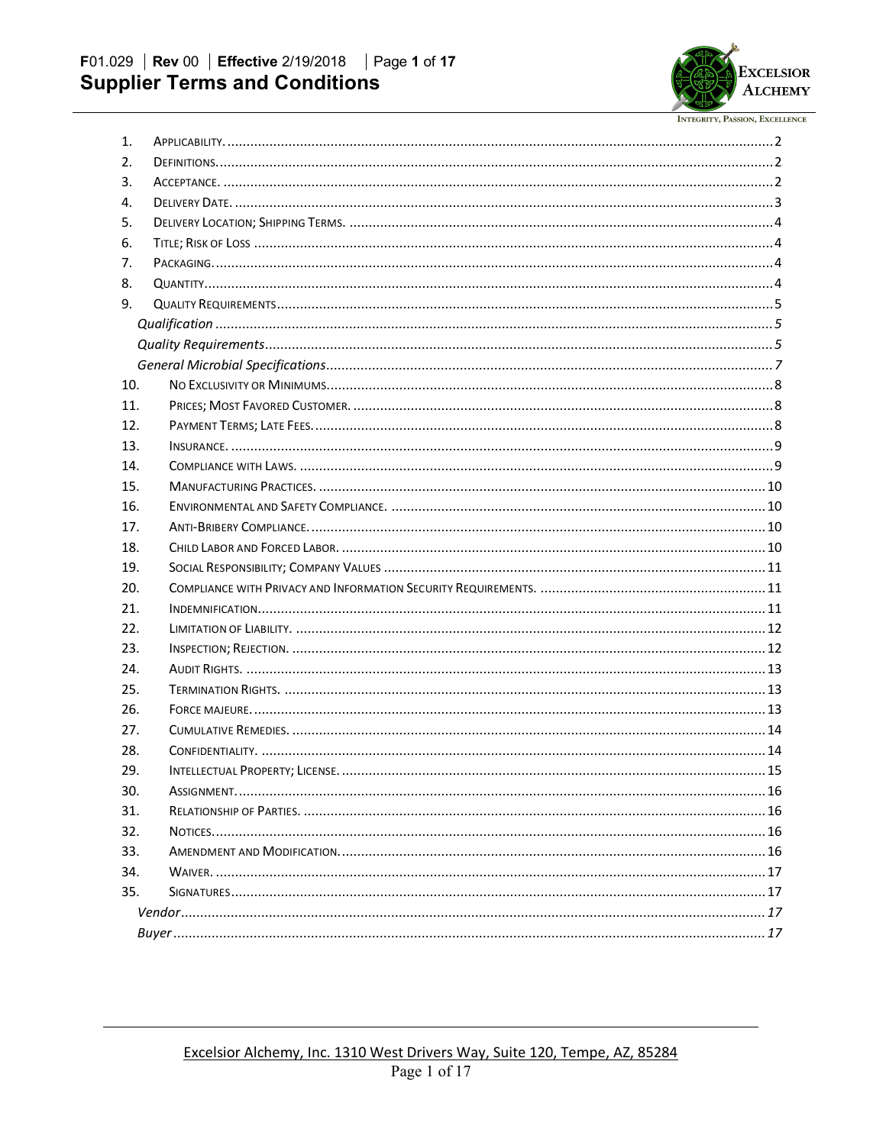

| 1.  |  |  |  |  |
|-----|--|--|--|--|
| 2.  |  |  |  |  |
| 3.  |  |  |  |  |
| 4.  |  |  |  |  |
| 5.  |  |  |  |  |
| 6.  |  |  |  |  |
| 7.  |  |  |  |  |
| 8.  |  |  |  |  |
| 9.  |  |  |  |  |
|     |  |  |  |  |
|     |  |  |  |  |
|     |  |  |  |  |
| 10. |  |  |  |  |
| 11. |  |  |  |  |
| 12. |  |  |  |  |
| 13. |  |  |  |  |
| 14. |  |  |  |  |
| 15. |  |  |  |  |
| 16. |  |  |  |  |
| 17. |  |  |  |  |
| 18. |  |  |  |  |
| 19. |  |  |  |  |
| 20. |  |  |  |  |
| 21. |  |  |  |  |
| 22. |  |  |  |  |
| 23. |  |  |  |  |
| 24. |  |  |  |  |
| 25. |  |  |  |  |
| 26. |  |  |  |  |
| 27. |  |  |  |  |
| 28. |  |  |  |  |
| 29. |  |  |  |  |
| 30. |  |  |  |  |
| 31. |  |  |  |  |
| 32. |  |  |  |  |
| 33. |  |  |  |  |
| 34. |  |  |  |  |
| 35. |  |  |  |  |
|     |  |  |  |  |
|     |  |  |  |  |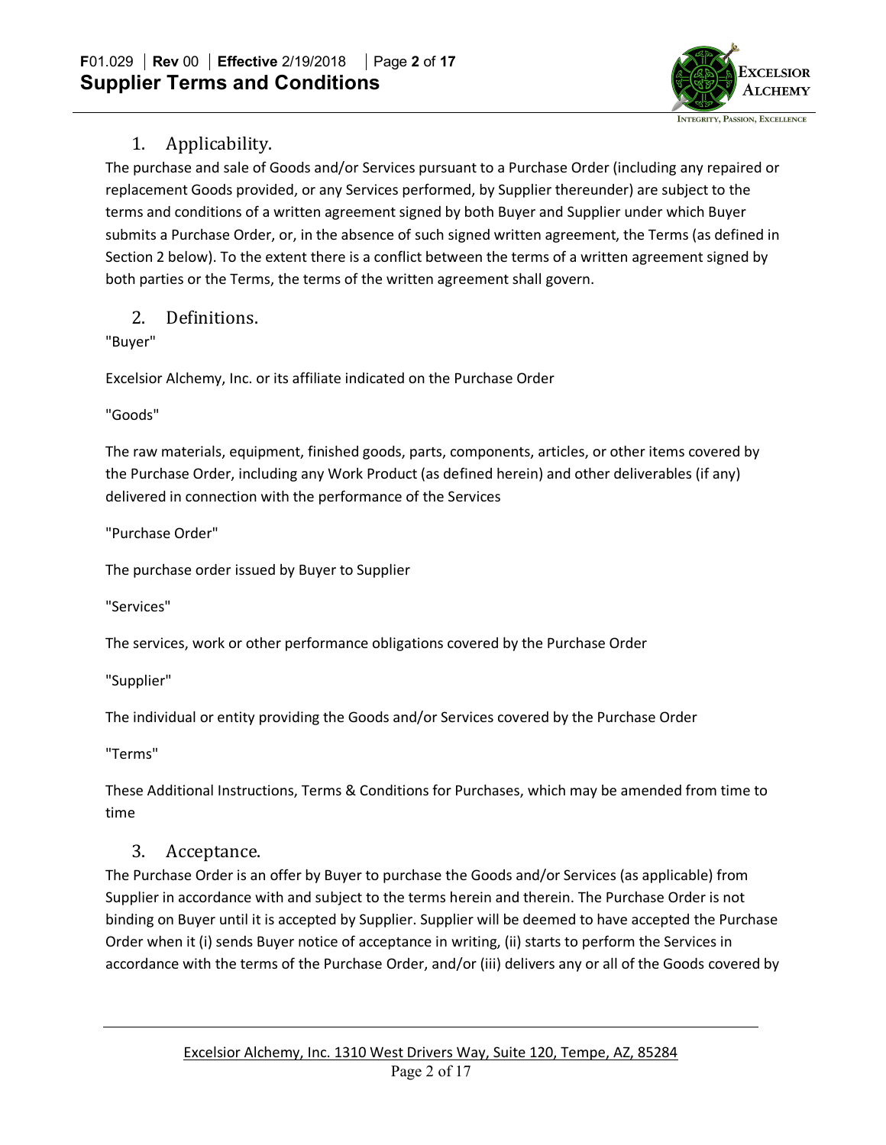

### 1. Applicability.

The purchase and sale of Goods and/or Services pursuant to a Purchase Order (including any repaired or replacement Goods provided, or any Services performed, by Supplier thereunder) are subject to the terms and conditions of a written agreement signed by both Buyer and Supplier under which Buyer submits a Purchase Order, or, in the absence of such signed written agreement, the Terms (as defined in Section 2 below). To the extent there is a conflict between the terms of a written agreement signed by both parties or the Terms, the terms of the written agreement shall govern.

2. Definitions.

"Buyer"

Excelsior Alchemy, Inc. or its affiliate indicated on the Purchase Order

"Goods"

The raw materials, equipment, finished goods, parts, components, articles, or other items covered by the Purchase Order, including any Work Product (as defined herein) and other deliverables (if any) delivered in connection with the performance of the Services

"Purchase Order"

The purchase order issued by Buyer to Supplier

"Services"

The services, work or other performance obligations covered by the Purchase Order

"Supplier"

The individual or entity providing the Goods and/or Services covered by the Purchase Order

"Terms"

These Additional Instructions, Terms & Conditions for Purchases, which may be amended from time to time

## 3. Acceptance.

The Purchase Order is an offer by Buyer to purchase the Goods and/or Services (as applicable) from Supplier in accordance with and subject to the terms herein and therein. The Purchase Order is not binding on Buyer until it is accepted by Supplier. Supplier will be deemed to have accepted the Purchase Order when it (i) sends Buyer notice of acceptance in writing, (ii) starts to perform the Services in accordance with the terms of the Purchase Order, and/or (iii) delivers any or all of the Goods covered by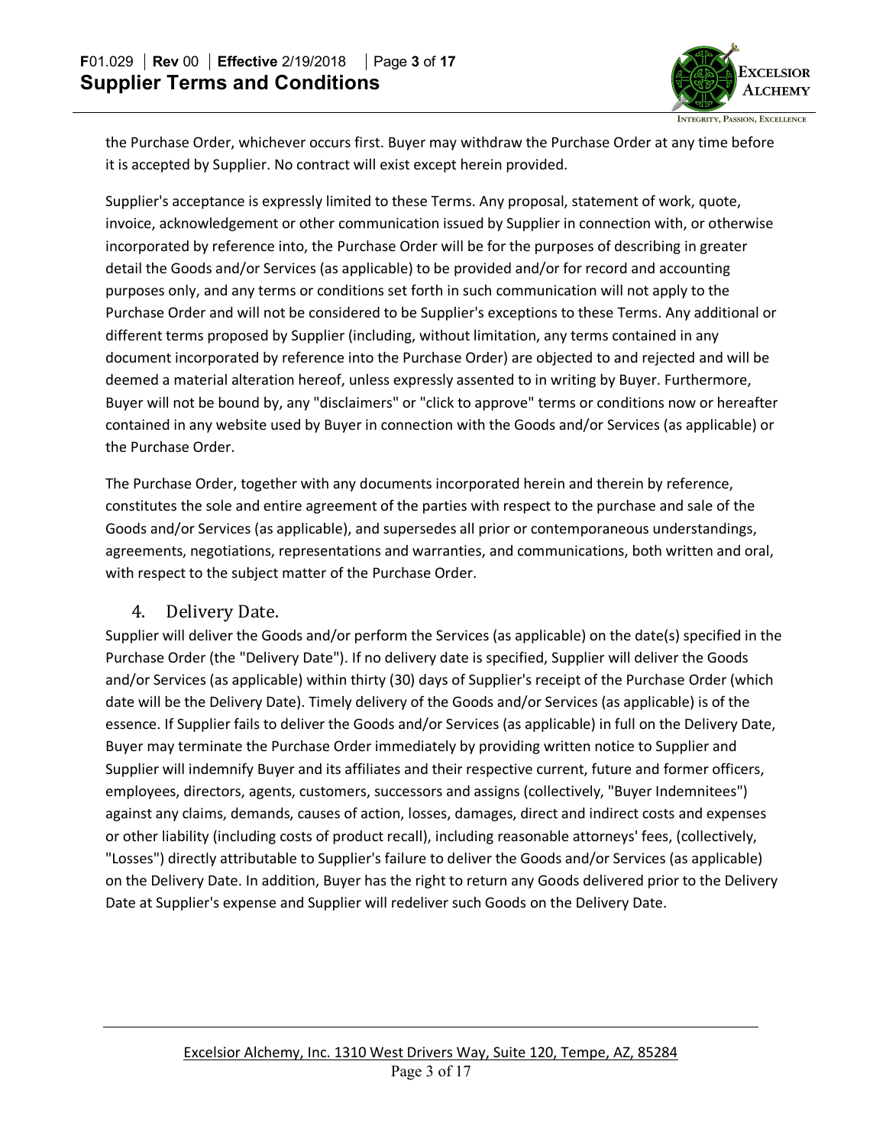

the Purchase Order, whichever occurs first. Buyer may withdraw the Purchase Order at any time before it is accepted by Supplier. No contract will exist except herein provided.

Supplier's acceptance is expressly limited to these Terms. Any proposal, statement of work, quote, invoice, acknowledgement or other communication issued by Supplier in connection with, or otherwise incorporated by reference into, the Purchase Order will be for the purposes of describing in greater detail the Goods and/or Services (as applicable) to be provided and/or for record and accounting purposes only, and any terms or conditions set forth in such communication will not apply to the Purchase Order and will not be considered to be Supplier's exceptions to these Terms. Any additional or different terms proposed by Supplier (including, without limitation, any terms contained in any document incorporated by reference into the Purchase Order) are objected to and rejected and will be deemed a material alteration hereof, unless expressly assented to in writing by Buyer. Furthermore, Buyer will not be bound by, any "disclaimers" or "click to approve" terms or conditions now or hereafter contained in any website used by Buyer in connection with the Goods and/or Services (as applicable) or the Purchase Order.

The Purchase Order, together with any documents incorporated herein and therein by reference, constitutes the sole and entire agreement of the parties with respect to the purchase and sale of the Goods and/or Services (as applicable), and supersedes all prior or contemporaneous understandings, agreements, negotiations, representations and warranties, and communications, both written and oral, with respect to the subject matter of the Purchase Order.

#### 4. Delivery Date.

Supplier will deliver the Goods and/or perform the Services (as applicable) on the date(s) specified in the Purchase Order (the "Delivery Date"). If no delivery date is specified, Supplier will deliver the Goods and/or Services (as applicable) within thirty (30) days of Supplier's receipt of the Purchase Order (which date will be the Delivery Date). Timely delivery of the Goods and/or Services (as applicable) is of the essence. If Supplier fails to deliver the Goods and/or Services (as applicable) in full on the Delivery Date, Buyer may terminate the Purchase Order immediately by providing written notice to Supplier and Supplier will indemnify Buyer and its affiliates and their respective current, future and former officers, employees, directors, agents, customers, successors and assigns (collectively, "Buyer Indemnitees") against any claims, demands, causes of action, losses, damages, direct and indirect costs and expenses or other liability (including costs of product recall), including reasonable attorneys' fees, (collectively, "Losses") directly attributable to Supplier's failure to deliver the Goods and/or Services (as applicable) on the Delivery Date. In addition, Buyer has the right to return any Goods delivered prior to the Delivery Date at Supplier's expense and Supplier will redeliver such Goods on the Delivery Date.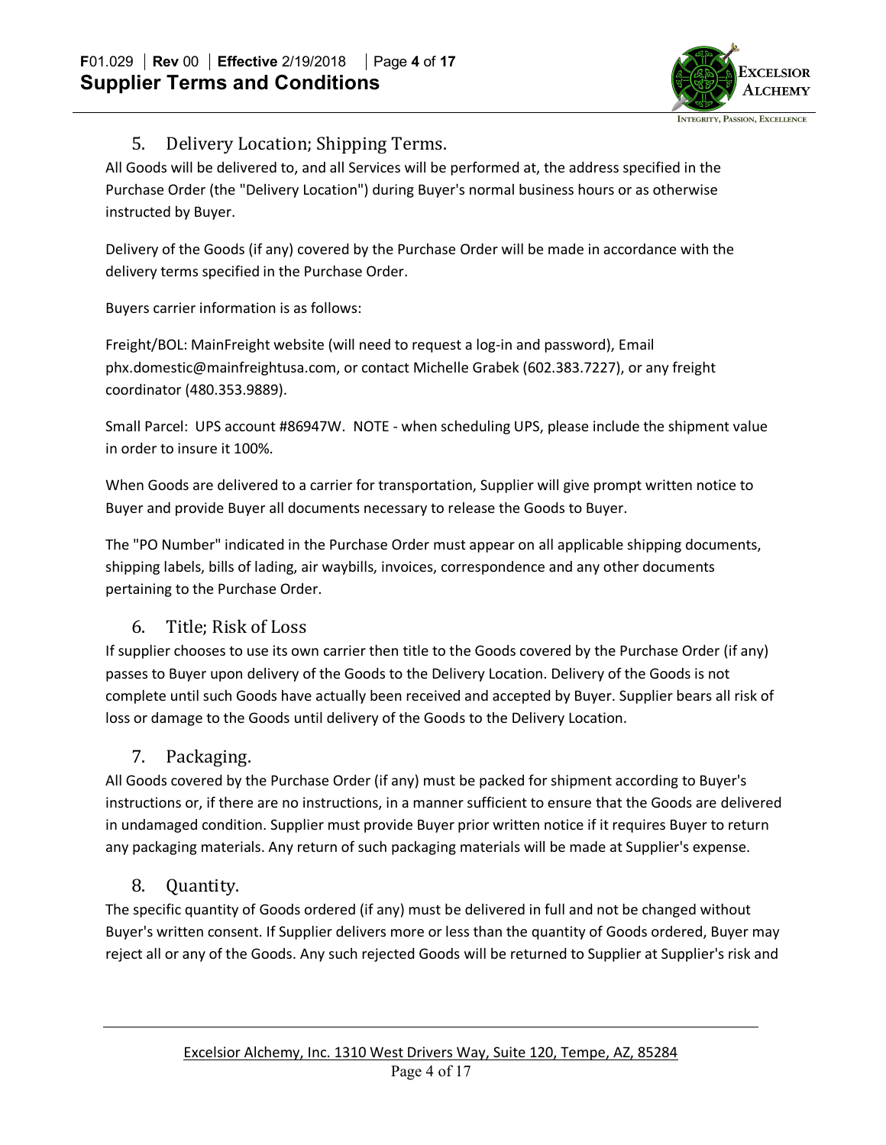

### 5. Delivery Location; Shipping Terms.

All Goods will be delivered to, and all Services will be performed at, the address specified in the Purchase Order (the "Delivery Location") during Buyer's normal business hours or as otherwise instructed by Buyer.

Delivery of the Goods (if any) covered by the Purchase Order will be made in accordance with the delivery terms specified in the Purchase Order.

Buyers carrier information is as follows:

Freight/BOL: MainFreight website (will need to request a log-in and password), Email phx.domestic@mainfreightusa.com, or contact Michelle Grabek (602.383.7227), or any freight coordinator (480.353.9889).

Small Parcel: UPS account #86947W. NOTE - when scheduling UPS, please include the shipment value in order to insure it 100%.

When Goods are delivered to a carrier for transportation, Supplier will give prompt written notice to Buyer and provide Buyer all documents necessary to release the Goods to Buyer.

The "PO Number" indicated in the Purchase Order must appear on all applicable shipping documents, shipping labels, bills of lading, air waybills, invoices, correspondence and any other documents pertaining to the Purchase Order.

### 6. Title; Risk of Loss

If supplier chooses to use its own carrier then title to the Goods covered by the Purchase Order (if any) passes to Buyer upon delivery of the Goods to the Delivery Location. Delivery of the Goods is not complete until such Goods have actually been received and accepted by Buyer. Supplier bears all risk of loss or damage to the Goods until delivery of the Goods to the Delivery Location.

### 7. Packaging.

All Goods covered by the Purchase Order (if any) must be packed for shipment according to Buyer's instructions or, if there are no instructions, in a manner sufficient to ensure that the Goods are delivered in undamaged condition. Supplier must provide Buyer prior written notice if it requires Buyer to return any packaging materials. Any return of such packaging materials will be made at Supplier's expense.

### 8. Quantity.

The specific quantity of Goods ordered (if any) must be delivered in full and not be changed without Buyer's written consent. If Supplier delivers more or less than the quantity of Goods ordered, Buyer may reject all or any of the Goods. Any such rejected Goods will be returned to Supplier at Supplier's risk and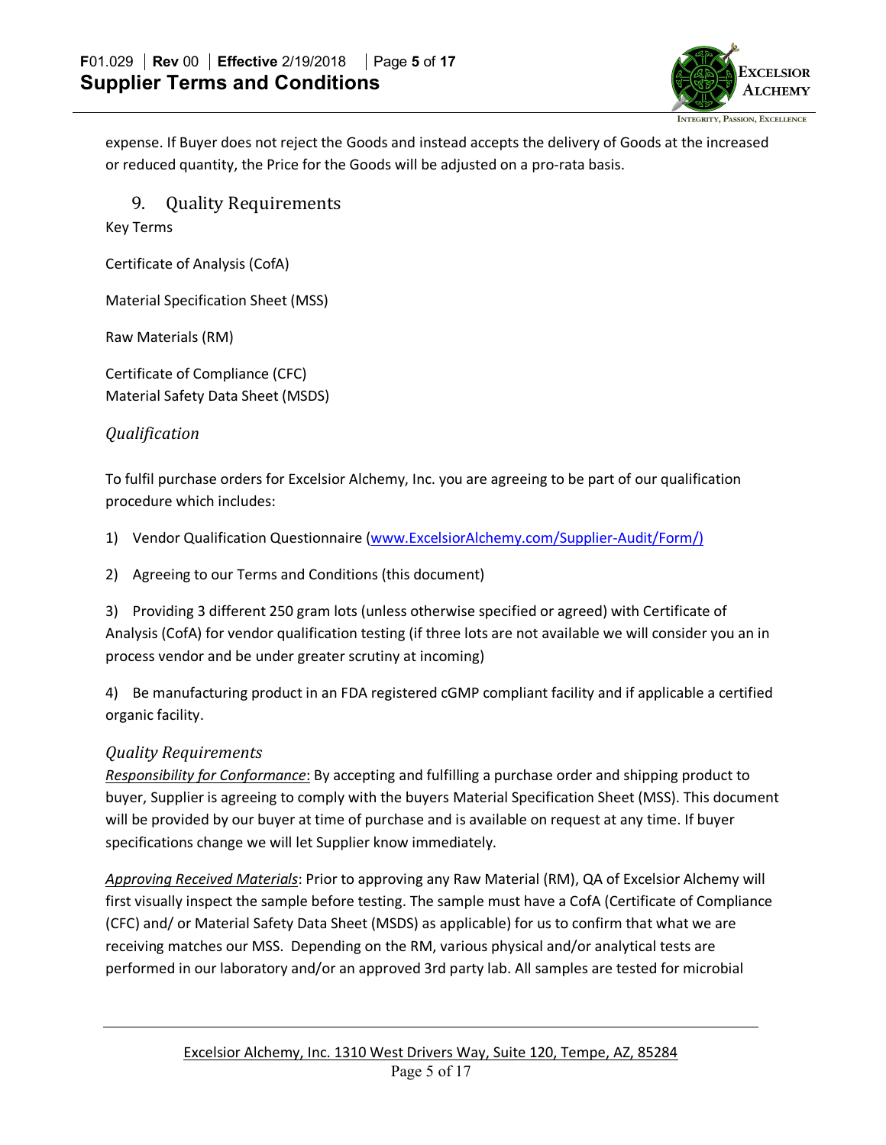

expense. If Buyer does not reject the Goods and instead accepts the delivery of Goods at the increased or reduced quantity, the Price for the Goods will be adjusted on a pro-rata basis.

9. Quality Requirements

Key Terms

Certificate of Analysis (CofA)

Material Specification Sheet (MSS)

Raw Materials (RM)

Certificate of Compliance (CFC) Material Safety Data Sheet (MSDS)

#### *Qualification*

To fulfil purchase orders for Excelsior Alchemy, Inc. you are agreeing to be part of our qualification procedure which includes:

1) Vendor Qualification Questionnaire (www.ExcelsiorAlchemy.com/Supplier-Audit/Form/)

2) Agreeing to our Terms and Conditions (this document)

3) Providing 3 different 250 gram lots (unless otherwise specified or agreed) with Certificate of Analysis (CofA) for vendor qualification testing (if three lots are not available we will consider you an in process vendor and be under greater scrutiny at incoming)

4) Be manufacturing product in an FDA registered cGMP compliant facility and if applicable a certified organic facility.

#### *Quality Requirements*

*Responsibility for Conformance*: By accepting and fulfilling a purchase order and shipping product to buyer, Supplier is agreeing to comply with the buyers Material Specification Sheet (MSS). This document will be provided by our buyer at time of purchase and is available on request at any time. If buyer specifications change we will let Supplier know immediately.

*Approving Received Materials*: Prior to approving any Raw Material (RM), QA of Excelsior Alchemy will first visually inspect the sample before testing. The sample must have a CofA (Certificate of Compliance (CFC) and/ or Material Safety Data Sheet (MSDS) as applicable) for us to confirm that what we are receiving matches our MSS. Depending on the RM, various physical and/or analytical tests are performed in our laboratory and/or an approved 3rd party lab. All samples are tested for microbial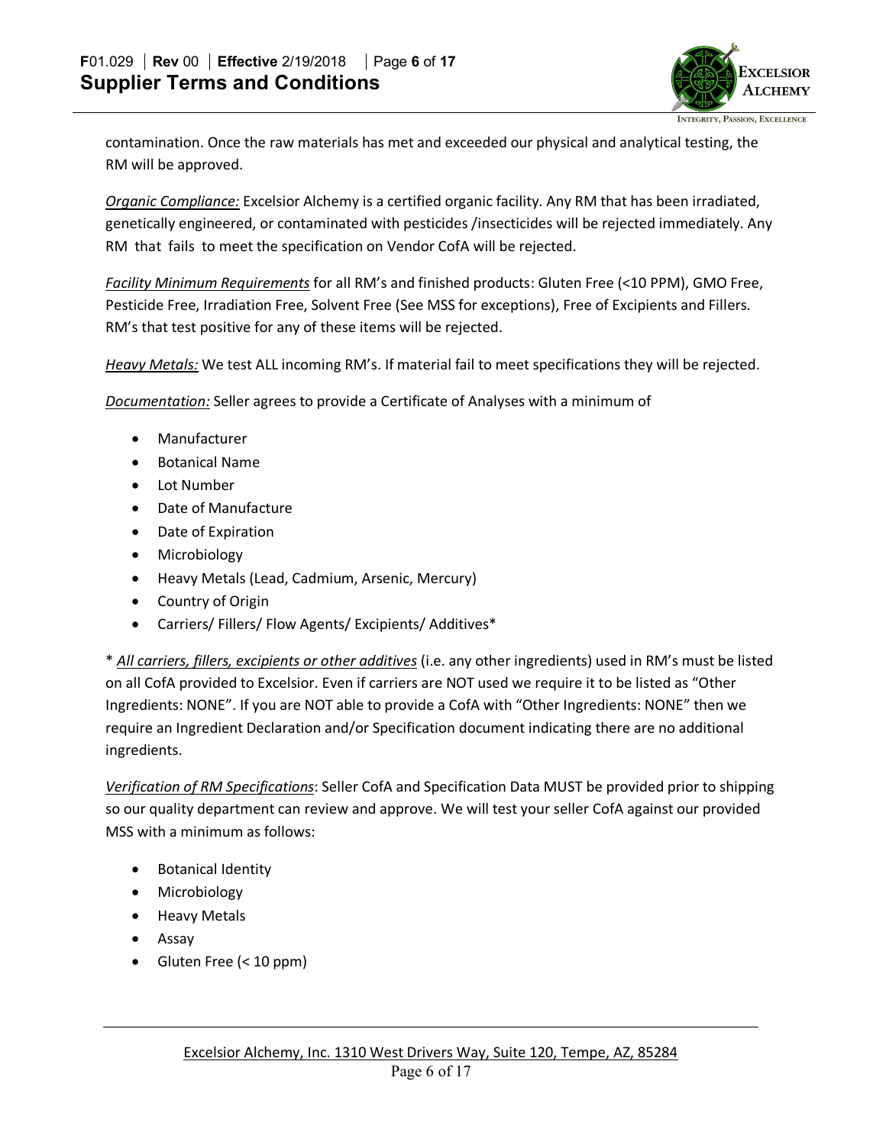

contamination. Once the raw materials has met and exceeded our physical and analytical testing, the RM will be approved.

*Organic Compliance:* Excelsior Alchemy is a certified organic facility. Any RM that has been irradiated, genetically engineered, or contaminated with pesticides /insecticides will be rejected immediately. Any RM that fails to meet the specification on Vendor CofA will be rejected.

*Facility Minimum Requirements* for all RM's and finished products: Gluten Free (<10 PPM), GMO Free, Pesticide Free, Irradiation Free, Solvent Free (See MSS for exceptions), Free of Excipients and Fillers. RM's that test positive for any of these items will be rejected.

*Heavy Metals:* We test ALL incoming RM's. If material fail to meet specifications they will be rejected.

*Documentation:* Seller agrees to provide a Certificate of Analyses with a minimum of

- Manufacturer
- Botanical Name
- Lot Number
- Date of Manufacture
- Date of Expiration
- Microbiology
- Heavy Metals (Lead, Cadmium, Arsenic, Mercury)
- Country of Origin
- Carriers/ Fillers/ Flow Agents/ Excipients/ Additives\*

\* *All carriers, fillers, excipients or other additives* (i.e. any other ingredients) used in RM's must be listed on all CofA provided to Excelsior. Even if carriers are NOT used we require it to be listed as "Other Ingredients: NONE". If you are NOT able to provide a CofA with "Other Ingredients: NONE" then we require an Ingredient Declaration and/or Specification document indicating there are no additional ingredients.

*Verification of RM Specifications*: Seller CofA and Specification Data MUST be provided prior to shipping so our quality department can review and approve. We will test your seller CofA against our provided MSS with a minimum as follows:

- Botanical Identity
- Microbiology
- Heavy Metals
- Assay
- Gluten Free (< 10 ppm)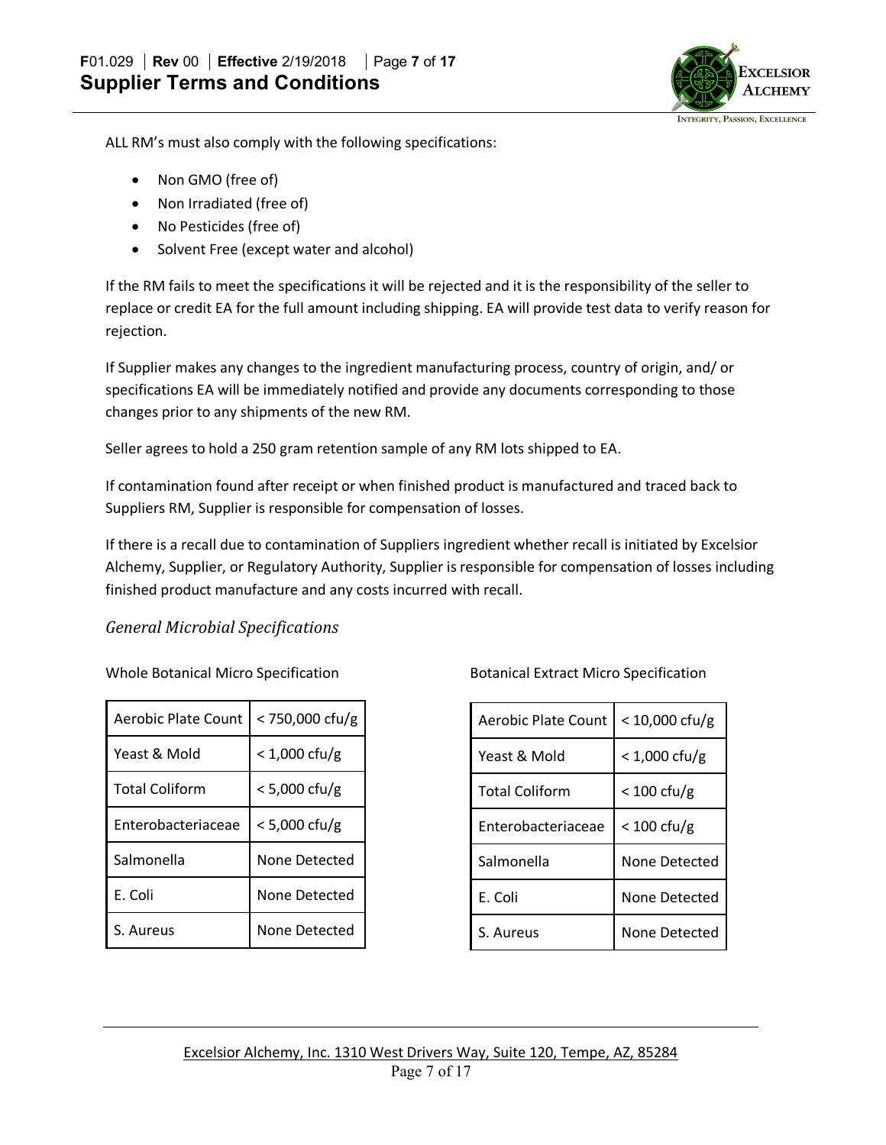

ALL RM's must also comply with the following specifications:

- Non GMO (free of)
- Non Irradiated (free of)
- No Pesticides (free of)
- Solvent Free (except water and alcohol)

If the RM fails to meet the specifications it will be rejected and it is the responsibility of the seller to replace or credit EA for the full amount including shipping. EA will provide test data to verify reason for rejection.

If Supplier makes any changes to the ingredient manufacturing process, country of origin, and/ or specifications EA will be immediately notified and provide any documents corresponding to those changes prior to any shipments of the new RM.

Seller agrees to hold a 250 gram retention sample of any RM lots shipped to EA.

If contamination found after receipt or when finished product is manufactured and traced back to Suppliers RM, Supplier is responsible for compensation of losses.

If there is a recall due to contamination of Suppliers ingredient whether recall is initiated by Excelsior Alchemy, Supplier, or Regulatory Authority, Supplier is responsible for compensation of losses including finished product manufacture and any costs incurred with recall.

#### *General Microbial Specifications*

Whole Botanical Micro Specification

| <b>Aerobic Plate Count</b> | < 750,000 cfu/g         |
|----------------------------|-------------------------|
|                            |                         |
| Yeast & Mold               | $< 1,000$ cfu/g         |
| <b>Total Coliform</b>      | $< 5,000 \text{ cfu/g}$ |
| Enterobacteriaceae         | $< 5,000 \text{ cfu/g}$ |
| Salmonella                 | None Detected           |
| E. Coli                    | None Detected           |
| S. Aureus                  | None Detected           |

Botanical Extract Micro Specification

| <b>Aerobic Plate Count</b> | $< 10,000$ cfu/g      |
|----------------------------|-----------------------|
| Yeast & Mold               | $< 1,000$ cfu/g       |
| <b>Total Coliform</b>      | $< 100 \text{ cfu/g}$ |
| Enterobacteriaceae         | $< 100 \text{ cfu/g}$ |
| Salmonella                 | None Detected         |
| E. Coli                    | None Detected         |
| S. Aureus                  | None Detected         |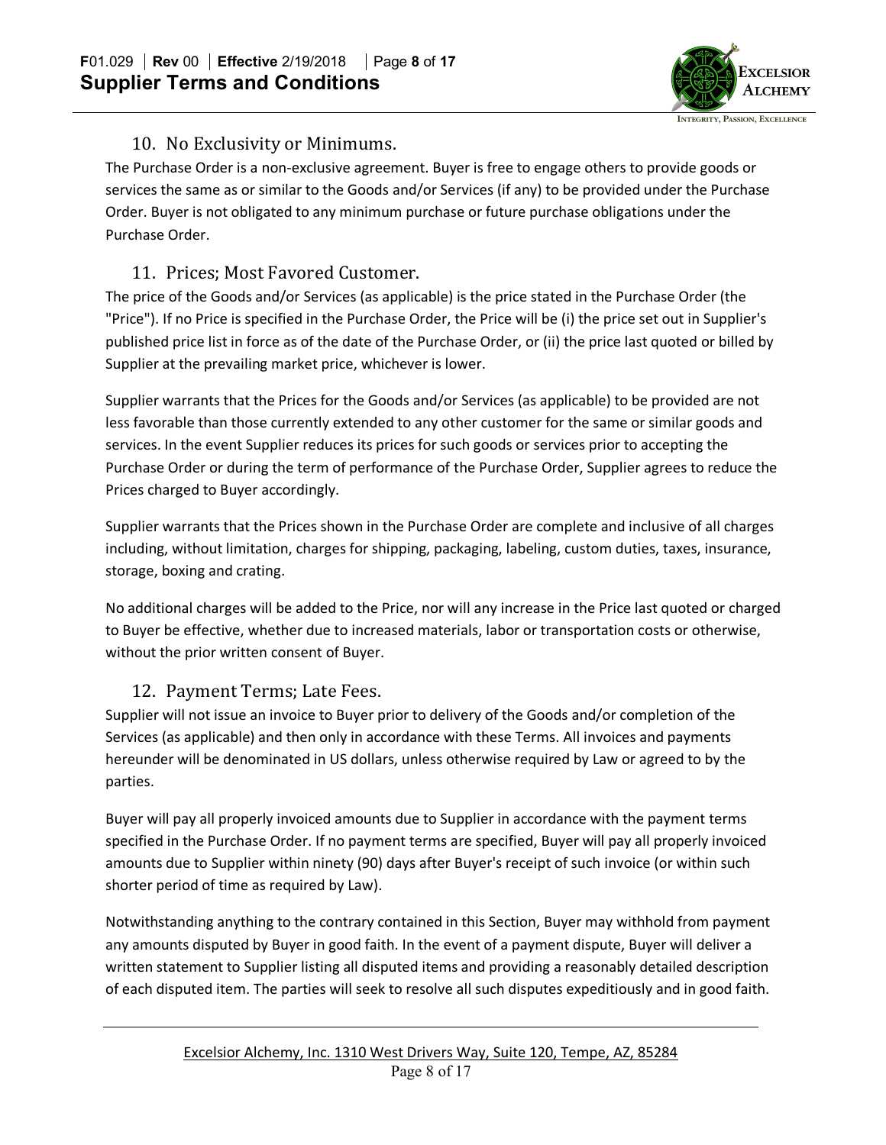

### 10. No Exclusivity or Minimums.

The Purchase Order is a non-exclusive agreement. Buyer is free to engage others to provide goods or services the same as or similar to the Goods and/or Services (if any) to be provided under the Purchase Order. Buyer is not obligated to any minimum purchase or future purchase obligations under the Purchase Order.

## 11. Prices: Most Favored Customer.

The price of the Goods and/or Services (as applicable) is the price stated in the Purchase Order (the "Price"). If no Price is specified in the Purchase Order, the Price will be (i) the price set out in Supplier's published price list in force as of the date of the Purchase Order, or (ii) the price last quoted or billed by Supplier at the prevailing market price, whichever is lower.

Supplier warrants that the Prices for the Goods and/or Services (as applicable) to be provided are not less favorable than those currently extended to any other customer for the same or similar goods and services. In the event Supplier reduces its prices for such goods or services prior to accepting the Purchase Order or during the term of performance of the Purchase Order, Supplier agrees to reduce the Prices charged to Buyer accordingly.

Supplier warrants that the Prices shown in the Purchase Order are complete and inclusive of all charges including, without limitation, charges for shipping, packaging, labeling, custom duties, taxes, insurance, storage, boxing and crating.

No additional charges will be added to the Price, nor will any increase in the Price last quoted or charged to Buyer be effective, whether due to increased materials, labor or transportation costs or otherwise, without the prior written consent of Buyer.

### 12. Payment Terms; Late Fees.

Supplier will not issue an invoice to Buyer prior to delivery of the Goods and/or completion of the Services (as applicable) and then only in accordance with these Terms. All invoices and payments hereunder will be denominated in US dollars, unless otherwise required by Law or agreed to by the parties.

Buyer will pay all properly invoiced amounts due to Supplier in accordance with the payment terms specified in the Purchase Order. If no payment terms are specified, Buyer will pay all properly invoiced amounts due to Supplier within ninety (90) days after Buyer's receipt of such invoice (or within such shorter period of time as required by Law).

Notwithstanding anything to the contrary contained in this Section, Buyer may withhold from payment any amounts disputed by Buyer in good faith. In the event of a payment dispute, Buyer will deliver a written statement to Supplier listing all disputed items and providing a reasonably detailed description of each disputed item. The parties will seek to resolve all such disputes expeditiously and in good faith.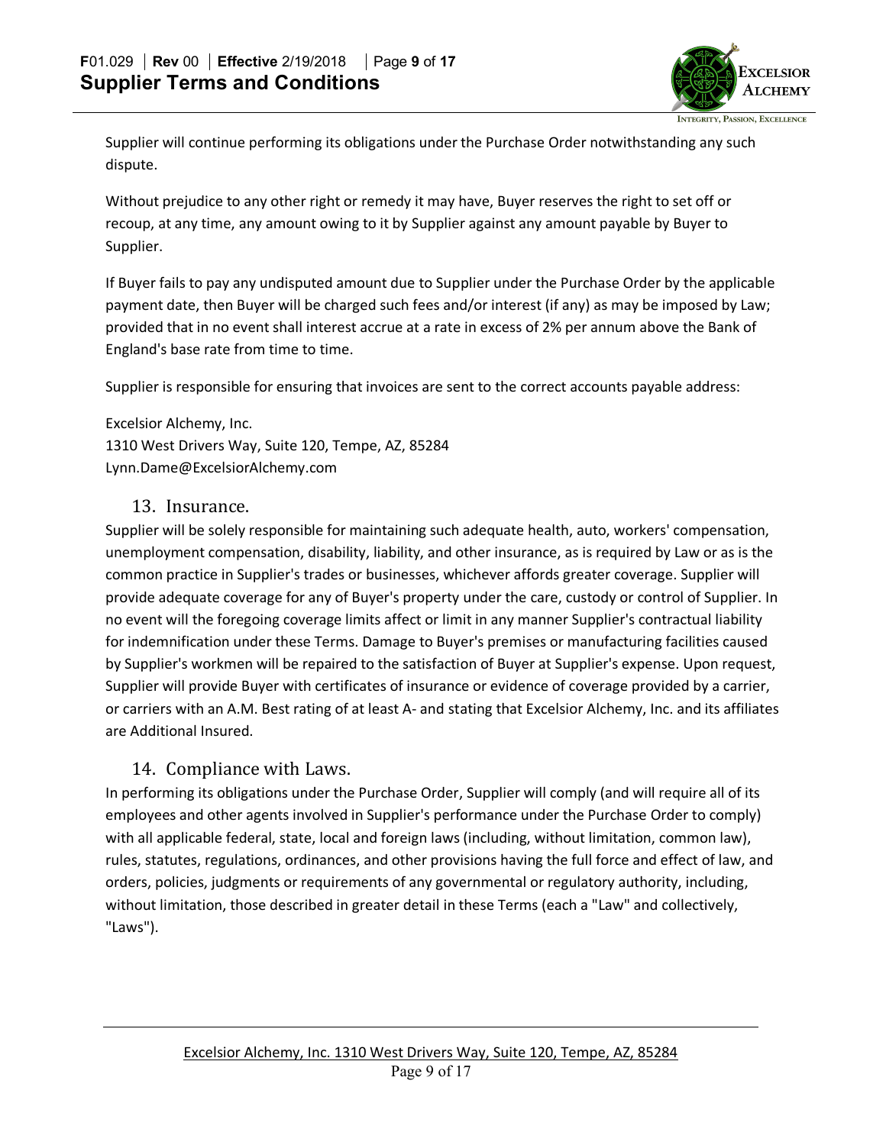

Supplier will continue performing its obligations under the Purchase Order notwithstanding any such dispute.

Without prejudice to any other right or remedy it may have, Buyer reserves the right to set off or recoup, at any time, any amount owing to it by Supplier against any amount payable by Buyer to Supplier.

If Buyer fails to pay any undisputed amount due to Supplier under the Purchase Order by the applicable payment date, then Buyer will be charged such fees and/or interest (if any) as may be imposed by Law; provided that in no event shall interest accrue at a rate in excess of 2% per annum above the Bank of England's base rate from time to time.

Supplier is responsible for ensuring that invoices are sent to the correct accounts payable address:

Excelsior Alchemy, Inc. 1310 West Drivers Way, Suite 120, Tempe, AZ, 85284 Lynn.Dame@ExcelsiorAlchemy.com

#### 13. Insurance.

Supplier will be solely responsible for maintaining such adequate health, auto, workers' compensation, unemployment compensation, disability, liability, and other insurance, as is required by Law or as is the common practice in Supplier's trades or businesses, whichever affords greater coverage. Supplier will provide adequate coverage for any of Buyer's property under the care, custody or control of Supplier. In no event will the foregoing coverage limits affect or limit in any manner Supplier's contractual liability for indemnification under these Terms. Damage to Buyer's premises or manufacturing facilities caused by Supplier's workmen will be repaired to the satisfaction of Buyer at Supplier's expense. Upon request, Supplier will provide Buyer with certificates of insurance or evidence of coverage provided by a carrier, or carriers with an A.M. Best rating of at least A- and stating that Excelsior Alchemy, Inc. and its affiliates are Additional Insured.

### 14. Compliance with Laws.

In performing its obligations under the Purchase Order, Supplier will comply (and will require all of its employees and other agents involved in Supplier's performance under the Purchase Order to comply) with all applicable federal, state, local and foreign laws (including, without limitation, common law), rules, statutes, regulations, ordinances, and other provisions having the full force and effect of law, and orders, policies, judgments or requirements of any governmental or regulatory authority, including, without limitation, those described in greater detail in these Terms (each a "Law" and collectively, "Laws").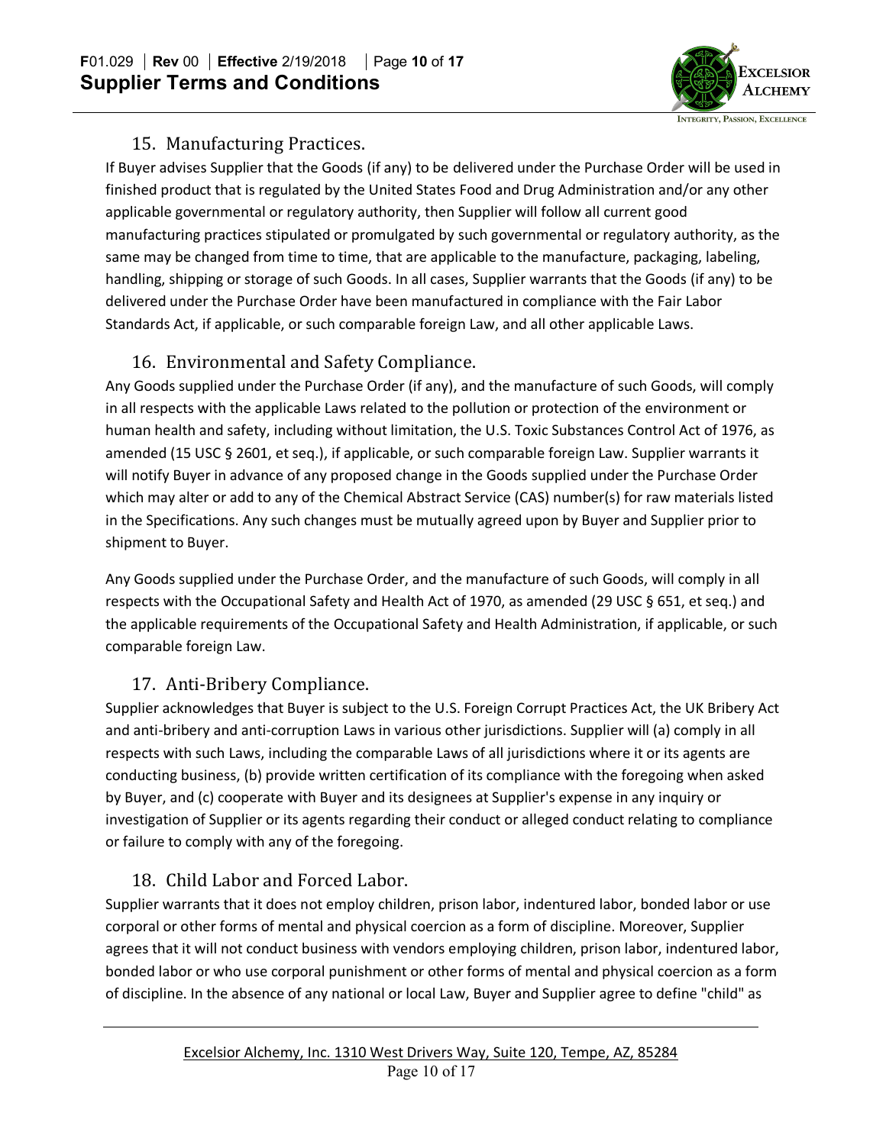

### 15. Manufacturing Practices.

If Buyer advises Supplier that the Goods (if any) to be delivered under the Purchase Order will be used in finished product that is regulated by the United States Food and Drug Administration and/or any other applicable governmental or regulatory authority, then Supplier will follow all current good manufacturing practices stipulated or promulgated by such governmental or regulatory authority, as the same may be changed from time to time, that are applicable to the manufacture, packaging, labeling, handling, shipping or storage of such Goods. In all cases, Supplier warrants that the Goods (if any) to be delivered under the Purchase Order have been manufactured in compliance with the Fair Labor Standards Act, if applicable, or such comparable foreign Law, and all other applicable Laws.

## 16. Environmental and Safety Compliance.

Any Goods supplied under the Purchase Order (if any), and the manufacture of such Goods, will comply in all respects with the applicable Laws related to the pollution or protection of the environment or human health and safety, including without limitation, the U.S. Toxic Substances Control Act of 1976, as amended (15 USC § 2601, et seq.), if applicable, or such comparable foreign Law. Supplier warrants it will notify Buyer in advance of any proposed change in the Goods supplied under the Purchase Order which may alter or add to any of the Chemical Abstract Service (CAS) number(s) for raw materials listed in the Specifications. Any such changes must be mutually agreed upon by Buyer and Supplier prior to shipment to Buyer.

Any Goods supplied under the Purchase Order, and the manufacture of such Goods, will comply in all respects with the Occupational Safety and Health Act of 1970, as amended (29 USC § 651, et seq.) and the applicable requirements of the Occupational Safety and Health Administration, if applicable, or such comparable foreign Law.

# 17. Anti-Bribery Compliance.

Supplier acknowledges that Buyer is subject to the U.S. Foreign Corrupt Practices Act, the UK Bribery Act and anti-bribery and anti-corruption Laws in various other jurisdictions. Supplier will (a) comply in all respects with such Laws, including the comparable Laws of all jurisdictions where it or its agents are conducting business, (b) provide written certification of its compliance with the foregoing when asked by Buyer, and (c) cooperate with Buyer and its designees at Supplier's expense in any inquiry or investigation of Supplier or its agents regarding their conduct or alleged conduct relating to compliance or failure to comply with any of the foregoing.

# 18. Child Labor and Forced Labor.

Supplier warrants that it does not employ children, prison labor, indentured labor, bonded labor or use corporal or other forms of mental and physical coercion as a form of discipline. Moreover, Supplier agrees that it will not conduct business with vendors employing children, prison labor, indentured labor, bonded labor or who use corporal punishment or other forms of mental and physical coercion as a form of discipline. In the absence of any national or local Law, Buyer and Supplier agree to define "child" as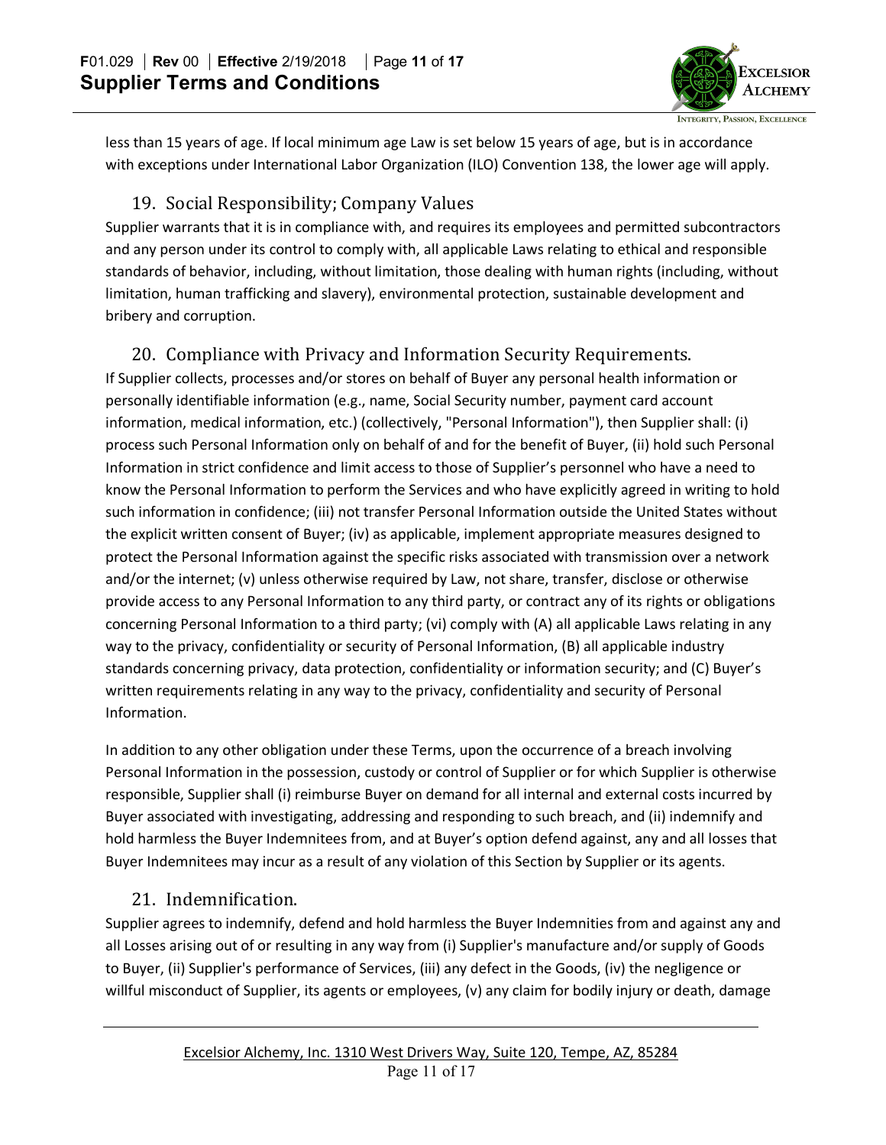

less than 15 years of age. If local minimum age Law is set below 15 years of age, but is in accordance with exceptions under International Labor Organization (ILO) Convention 138, the lower age will apply.

## 19. Social Responsibility; Company Values

Supplier warrants that it is in compliance with, and requires its employees and permitted subcontractors and any person under its control to comply with, all applicable Laws relating to ethical and responsible standards of behavior, including, without limitation, those dealing with human rights (including, without limitation, human trafficking and slavery), environmental protection, sustainable development and bribery and corruption.

# 20. Compliance with Privacy and Information Security Requirements.

If Supplier collects, processes and/or stores on behalf of Buyer any personal health information or personally identifiable information (e.g., name, Social Security number, payment card account information, medical information, etc.) (collectively, "Personal Information"), then Supplier shall: (i) process such Personal Information only on behalf of and for the benefit of Buyer, (ii) hold such Personal Information in strict confidence and limit access to those of Supplier's personnel who have a need to know the Personal Information to perform the Services and who have explicitly agreed in writing to hold such information in confidence; (iii) not transfer Personal Information outside the United States without the explicit written consent of Buyer; (iv) as applicable, implement appropriate measures designed to protect the Personal Information against the specific risks associated with transmission over a network and/or the internet; (v) unless otherwise required by Law, not share, transfer, disclose or otherwise provide access to any Personal Information to any third party, or contract any of its rights or obligations concerning Personal Information to a third party; (vi) comply with (A) all applicable Laws relating in any way to the privacy, confidentiality or security of Personal Information, (B) all applicable industry standards concerning privacy, data protection, confidentiality or information security; and (C) Buyer's written requirements relating in any way to the privacy, confidentiality and security of Personal Information.

In addition to any other obligation under these Terms, upon the occurrence of a breach involving Personal Information in the possession, custody or control of Supplier or for which Supplier is otherwise responsible, Supplier shall (i) reimburse Buyer on demand for all internal and external costs incurred by Buyer associated with investigating, addressing and responding to such breach, and (ii) indemnify and hold harmless the Buyer Indemnitees from, and at Buyer's option defend against, any and all losses that Buyer Indemnitees may incur as a result of any violation of this Section by Supplier or its agents.

# 21. Indemnification.

Supplier agrees to indemnify, defend and hold harmless the Buyer Indemnities from and against any and all Losses arising out of or resulting in any way from (i) Supplier's manufacture and/or supply of Goods to Buyer, (ii) Supplier's performance of Services, (iii) any defect in the Goods, (iv) the negligence or willful misconduct of Supplier, its agents or employees, (v) any claim for bodily injury or death, damage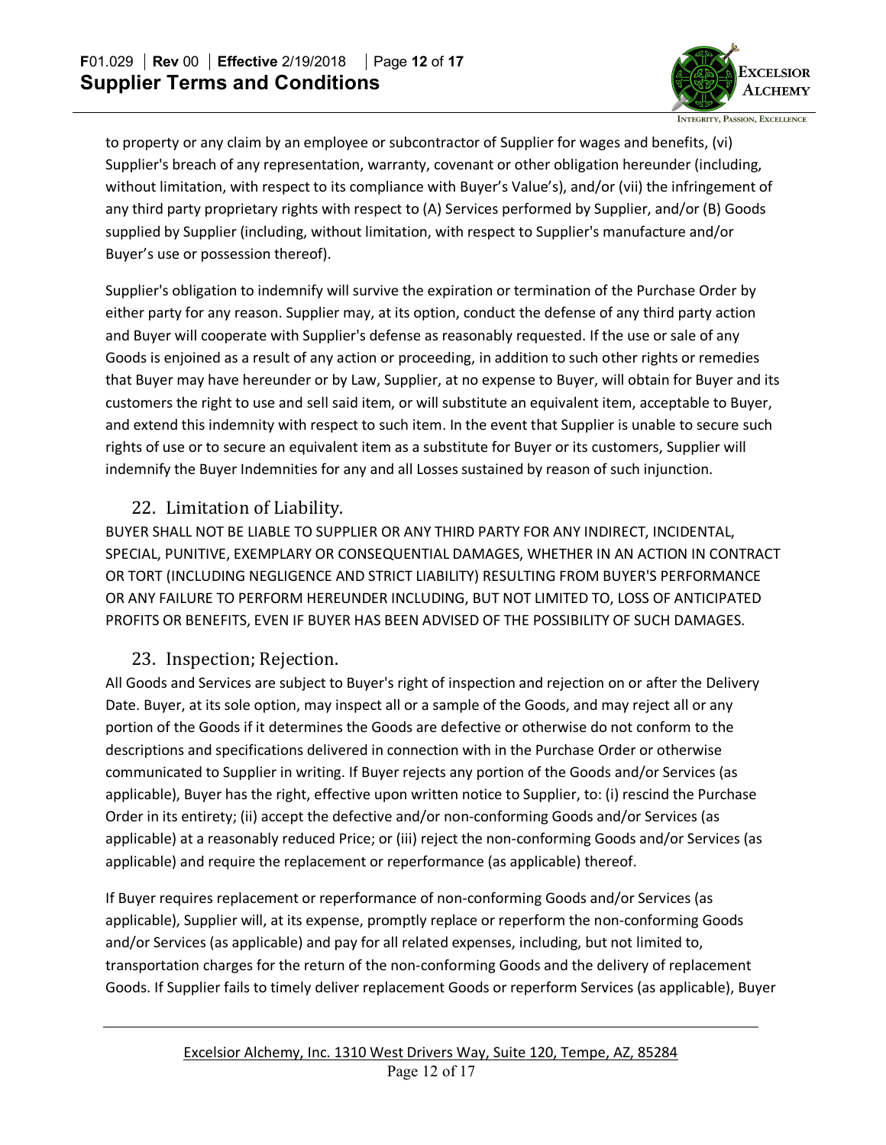

to property or any claim by an employee or subcontractor of Supplier for wages and benefits, (vi) Supplier's breach of any representation, warranty, covenant or other obligation hereunder (including, without limitation, with respect to its compliance with Buyer's Value's), and/or (vii) the infringement of any third party proprietary rights with respect to (A) Services performed by Supplier, and/or (B) Goods supplied by Supplier (including, without limitation, with respect to Supplier's manufacture and/or Buyer's use or possession thereof).

Supplier's obligation to indemnify will survive the expiration or termination of the Purchase Order by either party for any reason. Supplier may, at its option, conduct the defense of any third party action and Buyer will cooperate with Supplier's defense as reasonably requested. If the use or sale of any Goods is enjoined as a result of any action or proceeding, in addition to such other rights or remedies that Buyer may have hereunder or by Law, Supplier, at no expense to Buyer, will obtain for Buyer and its customers the right to use and sell said item, or will substitute an equivalent item, acceptable to Buyer, and extend this indemnity with respect to such item. In the event that Supplier is unable to secure such rights of use or to secure an equivalent item as a substitute for Buyer or its customers, Supplier will indemnify the Buyer Indemnities for any and all Losses sustained by reason of such injunction.

### 22. Limitation of Liability.

BUYER SHALL NOT BE LIABLE TO SUPPLIER OR ANY THIRD PARTY FOR ANY INDIRECT, INCIDENTAL, SPECIAL, PUNITIVE, EXEMPLARY OR CONSEQUENTIAL DAMAGES, WHETHER IN AN ACTION IN CONTRACT OR TORT (INCLUDING NEGLIGENCE AND STRICT LIABILITY) RESULTING FROM BUYER'S PERFORMANCE OR ANY FAILURE TO PERFORM HEREUNDER INCLUDING, BUT NOT LIMITED TO, LOSS OF ANTICIPATED PROFITS OR BENEFITS, EVEN IF BUYER HAS BEEN ADVISED OF THE POSSIBILITY OF SUCH DAMAGES.

## 23. Inspection; Rejection.

All Goods and Services are subject to Buyer's right of inspection and rejection on or after the Delivery Date. Buyer, at its sole option, may inspect all or a sample of the Goods, and may reject all or any portion of the Goods if it determines the Goods are defective or otherwise do not conform to the descriptions and specifications delivered in connection with in the Purchase Order or otherwise communicated to Supplier in writing. If Buyer rejects any portion of the Goods and/or Services (as applicable), Buyer has the right, effective upon written notice to Supplier, to: (i) rescind the Purchase Order in its entirety; (ii) accept the defective and/or non-conforming Goods and/or Services (as applicable) at a reasonably reduced Price; or (iii) reject the non-conforming Goods and/or Services (as applicable) and require the replacement or reperformance (as applicable) thereof.

If Buyer requires replacement or reperformance of non-conforming Goods and/or Services (as applicable), Supplier will, at its expense, promptly replace or reperform the non-conforming Goods and/or Services (as applicable) and pay for all related expenses, including, but not limited to, transportation charges for the return of the non-conforming Goods and the delivery of replacement Goods. If Supplier fails to timely deliver replacement Goods or reperform Services (as applicable), Buyer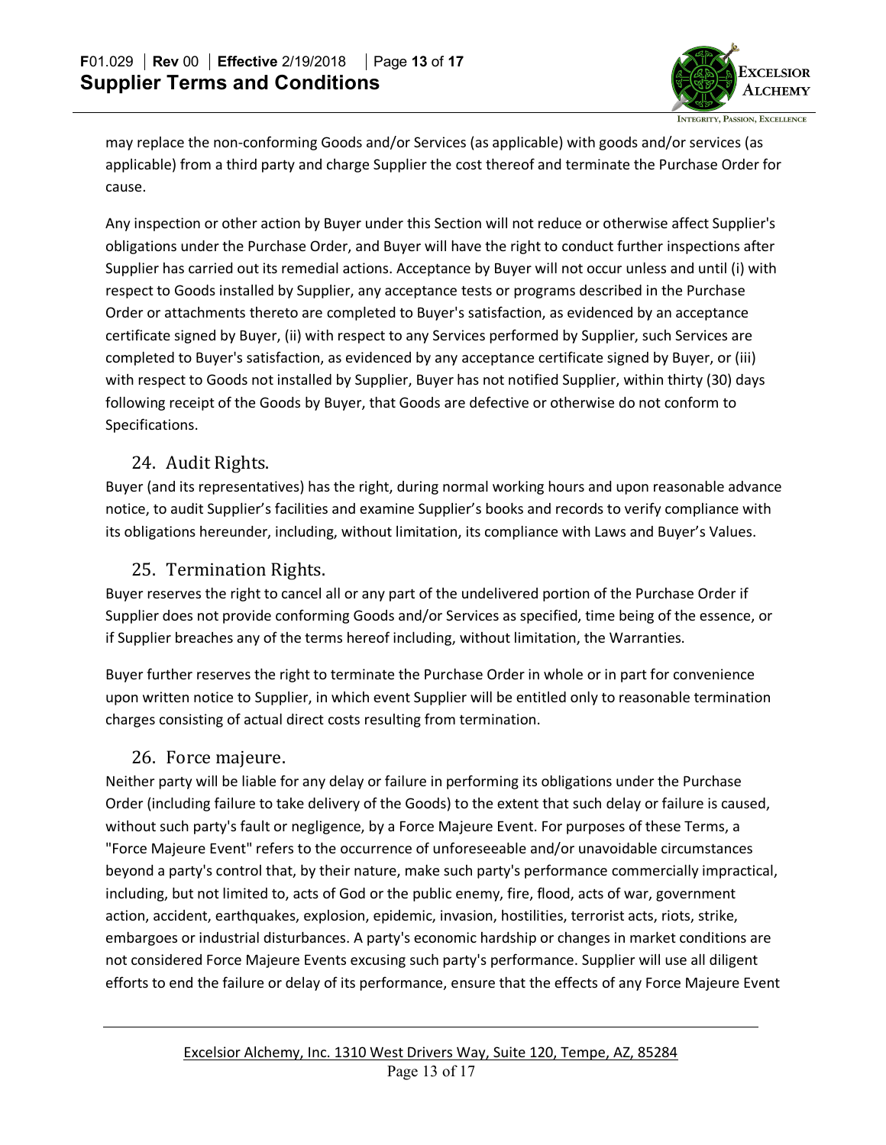

may replace the non-conforming Goods and/or Services (as applicable) with goods and/or services (as applicable) from a third party and charge Supplier the cost thereof and terminate the Purchase Order for cause.

Any inspection or other action by Buyer under this Section will not reduce or otherwise affect Supplier's obligations under the Purchase Order, and Buyer will have the right to conduct further inspections after Supplier has carried out its remedial actions. Acceptance by Buyer will not occur unless and until (i) with respect to Goods installed by Supplier, any acceptance tests or programs described in the Purchase Order or attachments thereto are completed to Buyer's satisfaction, as evidenced by an acceptance certificate signed by Buyer, (ii) with respect to any Services performed by Supplier, such Services are completed to Buyer's satisfaction, as evidenced by any acceptance certificate signed by Buyer, or (iii) with respect to Goods not installed by Supplier, Buyer has not notified Supplier, within thirty (30) days following receipt of the Goods by Buyer, that Goods are defective or otherwise do not conform to Specifications.

### 24. Audit Rights.

Buyer (and its representatives) has the right, during normal working hours and upon reasonable advance notice, to audit Supplier's facilities and examine Supplier's books and records to verify compliance with its obligations hereunder, including, without limitation, its compliance with Laws and Buyer's Values.

### 25. Termination Rights.

Buyer reserves the right to cancel all or any part of the undelivered portion of the Purchase Order if Supplier does not provide conforming Goods and/or Services as specified, time being of the essence, or if Supplier breaches any of the terms hereof including, without limitation, the Warranties.

Buyer further reserves the right to terminate the Purchase Order in whole or in part for convenience upon written notice to Supplier, in which event Supplier will be entitled only to reasonable termination charges consisting of actual direct costs resulting from termination.

### 26. Force majeure.

Neither party will be liable for any delay or failure in performing its obligations under the Purchase Order (including failure to take delivery of the Goods) to the extent that such delay or failure is caused, without such party's fault or negligence, by a Force Majeure Event. For purposes of these Terms, a "Force Majeure Event" refers to the occurrence of unforeseeable and/or unavoidable circumstances beyond a party's control that, by their nature, make such party's performance commercially impractical, including, but not limited to, acts of God or the public enemy, fire, flood, acts of war, government action, accident, earthquakes, explosion, epidemic, invasion, hostilities, terrorist acts, riots, strike, embargoes or industrial disturbances. A party's economic hardship or changes in market conditions are not considered Force Majeure Events excusing such party's performance. Supplier will use all diligent efforts to end the failure or delay of its performance, ensure that the effects of any Force Majeure Event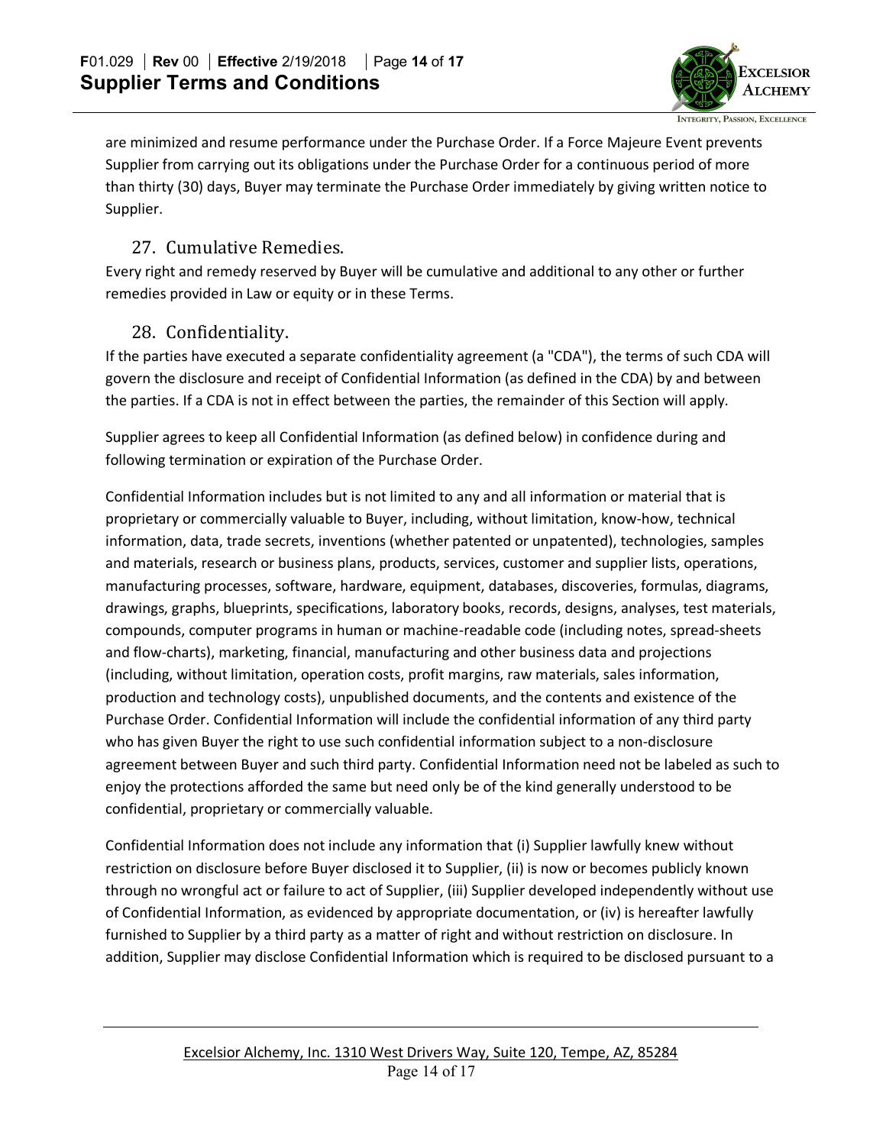

are minimized and resume performance under the Purchase Order. If a Force Majeure Event prevents Supplier from carrying out its obligations under the Purchase Order for a continuous period of more than thirty (30) days, Buyer may terminate the Purchase Order immediately by giving written notice to Supplier.

## 27. Cumulative Remedies.

Every right and remedy reserved by Buyer will be cumulative and additional to any other or further remedies provided in Law or equity or in these Terms.

## 28. Confidentiality.

If the parties have executed a separate confidentiality agreement (a "CDA"), the terms of such CDA will govern the disclosure and receipt of Confidential Information (as defined in the CDA) by and between the parties. If a CDA is not in effect between the parties, the remainder of this Section will apply.

Supplier agrees to keep all Confidential Information (as defined below) in confidence during and following termination or expiration of the Purchase Order.

Confidential Information includes but is not limited to any and all information or material that is proprietary or commercially valuable to Buyer, including, without limitation, know-how, technical information, data, trade secrets, inventions (whether patented or unpatented), technologies, samples and materials, research or business plans, products, services, customer and supplier lists, operations, manufacturing processes, software, hardware, equipment, databases, discoveries, formulas, diagrams, drawings, graphs, blueprints, specifications, laboratory books, records, designs, analyses, test materials, compounds, computer programs in human or machine-readable code (including notes, spread-sheets and flow-charts), marketing, financial, manufacturing and other business data and projections (including, without limitation, operation costs, profit margins, raw materials, sales information, production and technology costs), unpublished documents, and the contents and existence of the Purchase Order. Confidential Information will include the confidential information of any third party who has given Buyer the right to use such confidential information subject to a non-disclosure agreement between Buyer and such third party. Confidential Information need not be labeled as such to enjoy the protections afforded the same but need only be of the kind generally understood to be confidential, proprietary or commercially valuable.

Confidential Information does not include any information that (i) Supplier lawfully knew without restriction on disclosure before Buyer disclosed it to Supplier, (ii) is now or becomes publicly known through no wrongful act or failure to act of Supplier, (iii) Supplier developed independently without use of Confidential Information, as evidenced by appropriate documentation, or (iv) is hereafter lawfully furnished to Supplier by a third party as a matter of right and without restriction on disclosure. In addition, Supplier may disclose Confidential Information which is required to be disclosed pursuant to a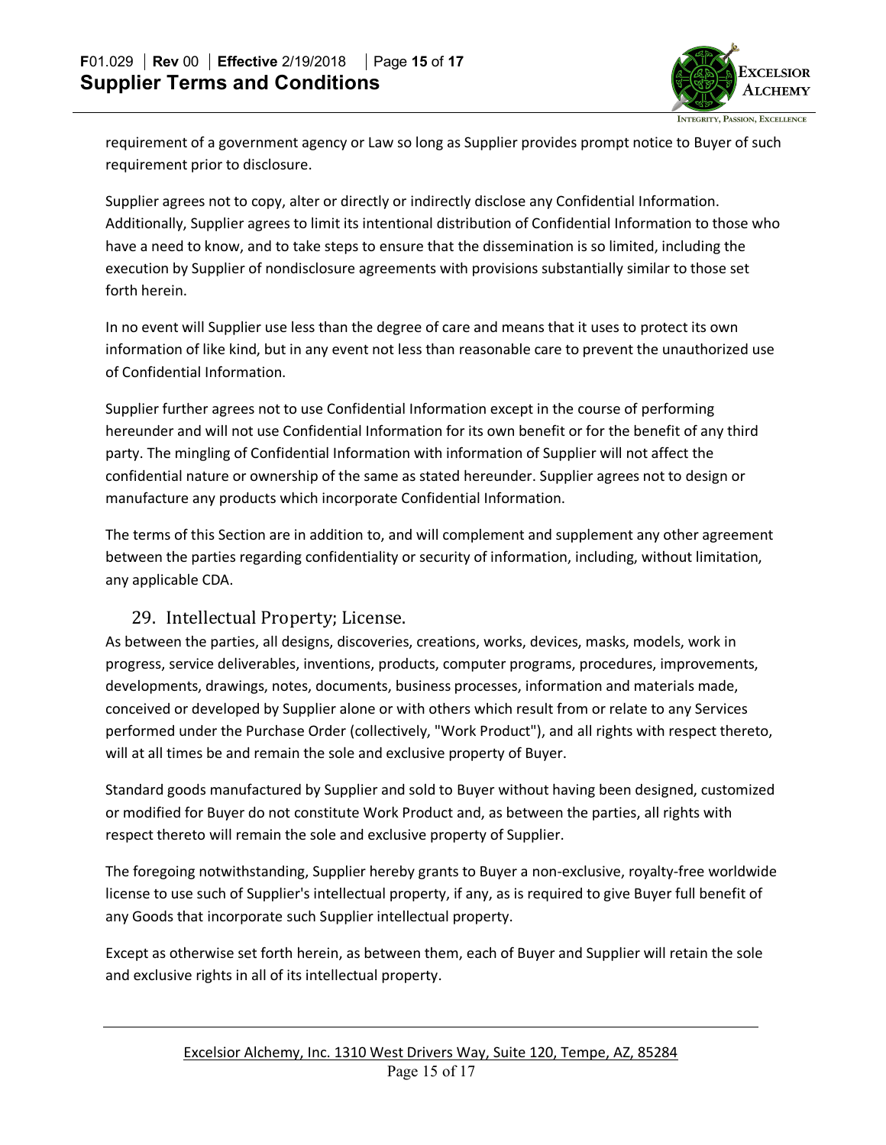

requirement of a government agency or Law so long as Supplier provides prompt notice to Buyer of such requirement prior to disclosure.

Supplier agrees not to copy, alter or directly or indirectly disclose any Confidential Information. Additionally, Supplier agrees to limit its intentional distribution of Confidential Information to those who have a need to know, and to take steps to ensure that the dissemination is so limited, including the execution by Supplier of nondisclosure agreements with provisions substantially similar to those set forth herein.

In no event will Supplier use less than the degree of care and means that it uses to protect its own information of like kind, but in any event not less than reasonable care to prevent the unauthorized use of Confidential Information.

Supplier further agrees not to use Confidential Information except in the course of performing hereunder and will not use Confidential Information for its own benefit or for the benefit of any third party. The mingling of Confidential Information with information of Supplier will not affect the confidential nature or ownership of the same as stated hereunder. Supplier agrees not to design or manufacture any products which incorporate Confidential Information.

The terms of this Section are in addition to, and will complement and supplement any other agreement between the parties regarding confidentiality or security of information, including, without limitation, any applicable CDA.

#### 29. Intellectual Property; License.

As between the parties, all designs, discoveries, creations, works, devices, masks, models, work in progress, service deliverables, inventions, products, computer programs, procedures, improvements, developments, drawings, notes, documents, business processes, information and materials made, conceived or developed by Supplier alone or with others which result from or relate to any Services performed under the Purchase Order (collectively, "Work Product"), and all rights with respect thereto, will at all times be and remain the sole and exclusive property of Buyer.

Standard goods manufactured by Supplier and sold to Buyer without having been designed, customized or modified for Buyer do not constitute Work Product and, as between the parties, all rights with respect thereto will remain the sole and exclusive property of Supplier.

The foregoing notwithstanding, Supplier hereby grants to Buyer a non-exclusive, royalty-free worldwide license to use such of Supplier's intellectual property, if any, as is required to give Buyer full benefit of any Goods that incorporate such Supplier intellectual property.

Except as otherwise set forth herein, as between them, each of Buyer and Supplier will retain the sole and exclusive rights in all of its intellectual property.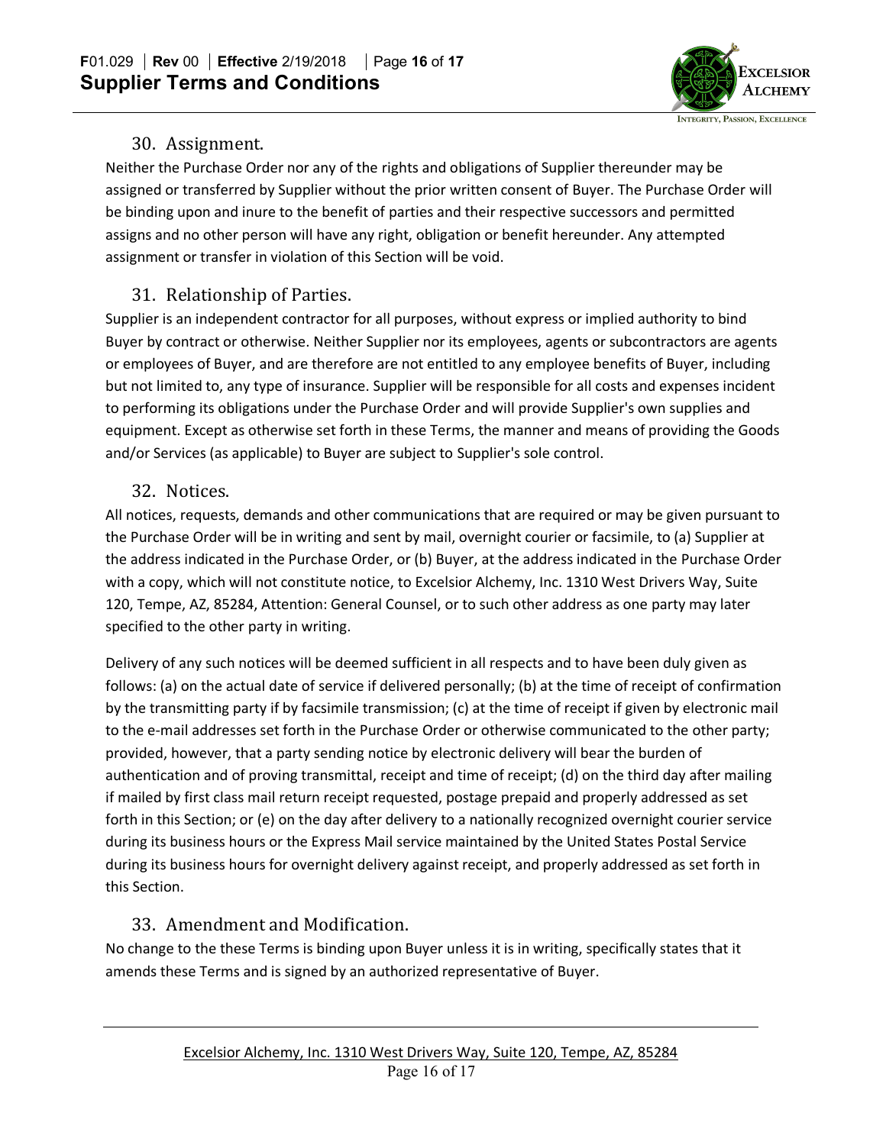

## 30. Assignment.

Neither the Purchase Order nor any of the rights and obligations of Supplier thereunder may be assigned or transferred by Supplier without the prior written consent of Buyer. The Purchase Order will be binding upon and inure to the benefit of parties and their respective successors and permitted assigns and no other person will have any right, obligation or benefit hereunder. Any attempted assignment or transfer in violation of this Section will be void.

# 31. Relationship of Parties.

Supplier is an independent contractor for all purposes, without express or implied authority to bind Buyer by contract or otherwise. Neither Supplier nor its employees, agents or subcontractors are agents or employees of Buyer, and are therefore are not entitled to any employee benefits of Buyer, including but not limited to, any type of insurance. Supplier will be responsible for all costs and expenses incident to performing its obligations under the Purchase Order and will provide Supplier's own supplies and equipment. Except as otherwise set forth in these Terms, the manner and means of providing the Goods and/or Services (as applicable) to Buyer are subject to Supplier's sole control.

## 32. Notices.

All notices, requests, demands and other communications that are required or may be given pursuant to the Purchase Order will be in writing and sent by mail, overnight courier or facsimile, to (a) Supplier at the address indicated in the Purchase Order, or (b) Buyer, at the address indicated in the Purchase Order with a copy, which will not constitute notice, to Excelsior Alchemy, Inc. 1310 West Drivers Way, Suite 120, Tempe, AZ, 85284, Attention: General Counsel, or to such other address as one party may later specified to the other party in writing.

Delivery of any such notices will be deemed sufficient in all respects and to have been duly given as follows: (a) on the actual date of service if delivered personally; (b) at the time of receipt of confirmation by the transmitting party if by facsimile transmission; (c) at the time of receipt if given by electronic mail to the e-mail addresses set forth in the Purchase Order or otherwise communicated to the other party; provided, however, that a party sending notice by electronic delivery will bear the burden of authentication and of proving transmittal, receipt and time of receipt; (d) on the third day after mailing if mailed by first class mail return receipt requested, postage prepaid and properly addressed as set forth in this Section; or (e) on the day after delivery to a nationally recognized overnight courier service during its business hours or the Express Mail service maintained by the United States Postal Service during its business hours for overnight delivery against receipt, and properly addressed as set forth in this Section.

# 33. Amendment and Modification.

No change to the these Terms is binding upon Buyer unless it is in writing, specifically states that it amends these Terms and is signed by an authorized representative of Buyer.